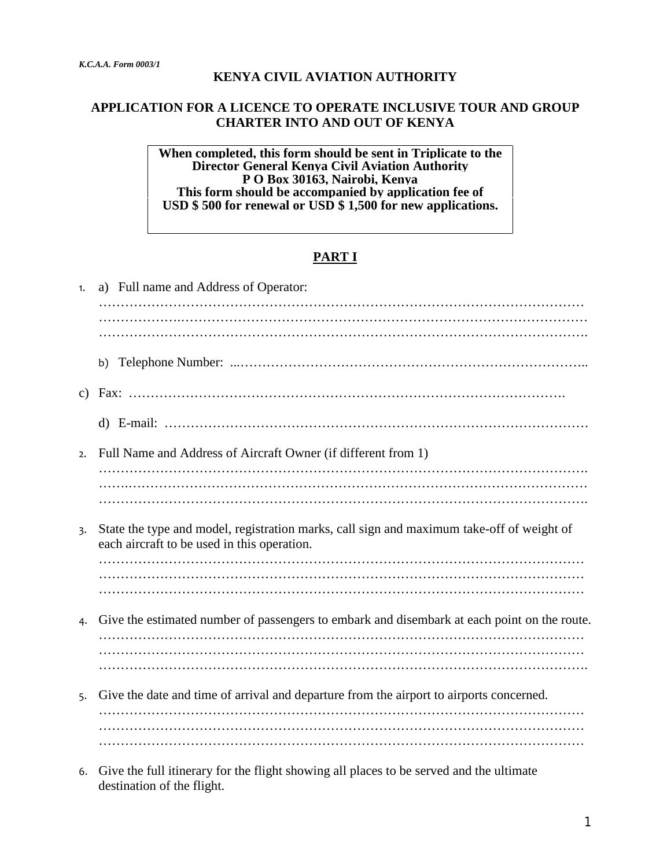#### **KENYA CIVIL AVIATION AUTHORITY**

#### **APPLICATION FOR A LICENCE TO OPERATE INCLUSIVE TOUR AND GROUP CHARTER INTO AND OUT OF KENYA**

**When completed, this form should be sent in Triplicate to the Director General Kenya Civil Aviation Authority P O Box 30163, Nairobi, Kenya This form should be accompanied by application fee of USD \$ 500 for renewal or USD \$ 1,500 for new applications.** 

### **PART I**

| 1. | a) Full name and Address of Operator:                                                                                                    |
|----|------------------------------------------------------------------------------------------------------------------------------------------|
|    |                                                                                                                                          |
|    |                                                                                                                                          |
|    |                                                                                                                                          |
|    | b)                                                                                                                                       |
|    |                                                                                                                                          |
|    |                                                                                                                                          |
| 2. | Full Name and Address of Aircraft Owner (if different from 1)                                                                            |
|    |                                                                                                                                          |
|    |                                                                                                                                          |
| 3. | State the type and model, registration marks, call sign and maximum take-off of weight of<br>each aircraft to be used in this operation. |
|    |                                                                                                                                          |
|    |                                                                                                                                          |
| 4. | Give the estimated number of passengers to embark and disembark at each point on the route.                                              |
|    |                                                                                                                                          |
|    |                                                                                                                                          |
| 5. | Give the date and time of arrival and departure from the airport to airports concerned.                                                  |
|    |                                                                                                                                          |
|    |                                                                                                                                          |
|    |                                                                                                                                          |
|    |                                                                                                                                          |

6. Give the full itinerary for the flight showing all places to be served and the ultimate destination of the flight.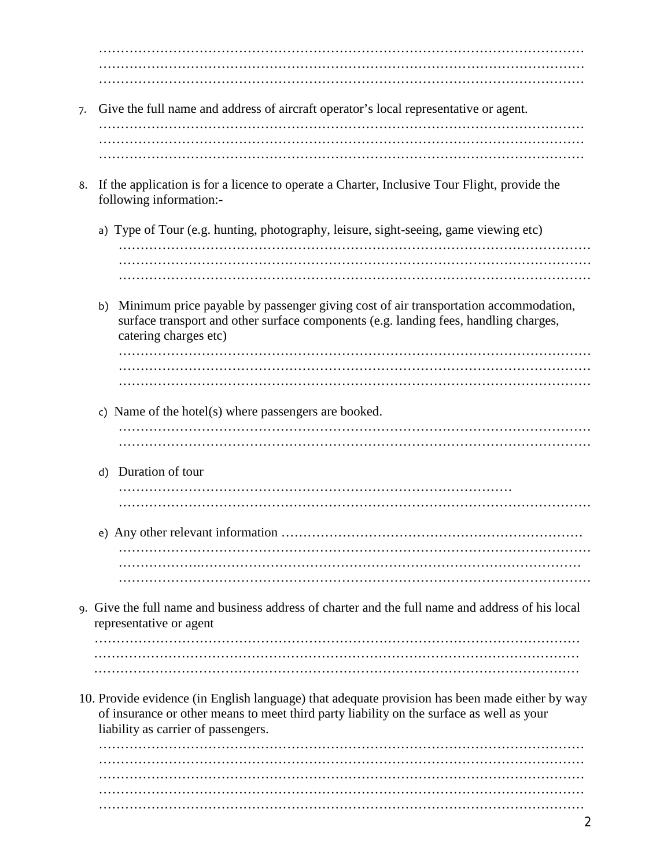………………………………………………………………………………………………… ………………………………………………………………………………………………… …………………………………………………………………………………………………

7. Give the full name and address of aircraft operator's local representative or agent.

………………………………………………………………………………………………… ………………………………………………………………………………………………… …………………………………………………………………………………………………

- 8. If the application is for a licence to operate a Charter, Inclusive Tour Flight, provide the following information:
	- a) Type of Tour (e.g. hunting, photography, leisure, sight-seeing, game viewing etc) ……………………………………………………………………………………………… ……………………………………………………………………………………………… ………………………………………………………………………………………………
	- b) Minimum price payable by passenger giving cost of air transportation accommodation, surface transport and other surface components (e.g. landing fees, handling charges, catering charges etc)

……………………………………………………………………………………………… ……………………………………………………………………………………………… ………………………………………………………………………………………………

- c) Name of the hotel(s) where passengers are booked. ………………………………………………………………………………………………
- ……………………………………………………………………………………………… d) Duration of tour
	- ……………………………………………………………………………… ………………………………………………………………………………………………
- e) Any other relevant information …………………………………………………………… ……………………………………………………………………………………………… ……………….…………………………………………………………………………… ………………………………………………………………………………………………
- 9. Give the full name and business address of charter and the full name and address of his local representative or agent

………………………………………………………………………………………………… ………………………………………………………………………………………………… …………………………………………………………………………………………………

10. Provide evidence (in English language) that adequate provision has been made either by way of insurance or other means to meet third party liability on the surface as well as your liability as carrier of passengers.

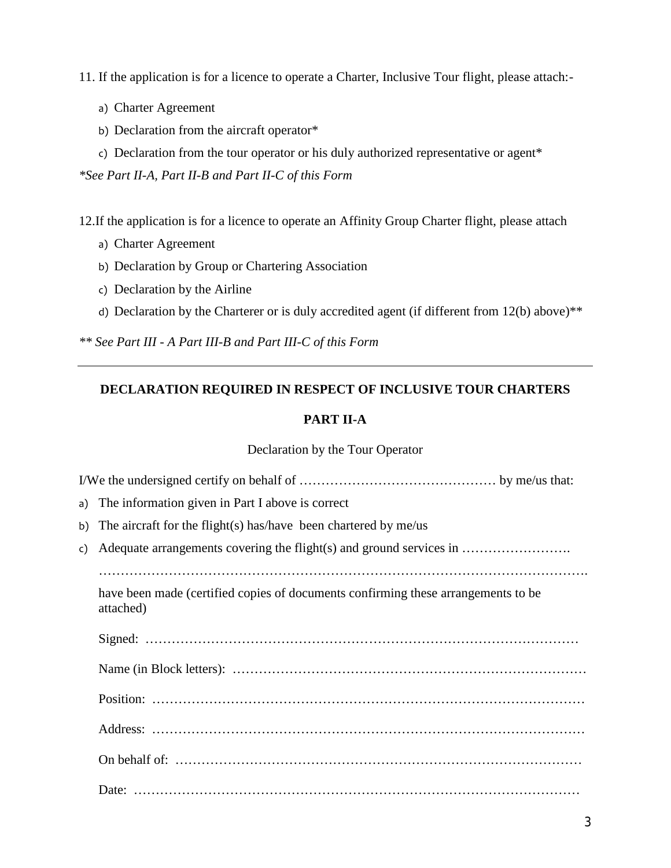11. If the application is for a licence to operate a Charter, Inclusive Tour flight, please attach:-

- a) Charter Agreement
- b) Declaration from the aircraft operator\*
- c) Declaration from the tour operator or his duly authorized representative or agent\*

*\*See Part II-A, Part II-B and Part II-C of this Form*

12.If the application is for a licence to operate an Affinity Group Charter flight, please attach

- a) Charter Agreement
- b) Declaration by Group or Chartering Association
- c) Declaration by the Airline
- d) Declaration by the Charterer or is duly accredited agent (if different from 12(b) above)<sup>\*\*</sup>

*\*\* See Part III - A Part III-B and Part III-C of this Form*

# **DECLARATION REQUIRED IN RESPECT OF INCLUSIVE TOUR CHARTERS**

## **PART II-A**

### Declaration by the Tour Operator

|               | a) The information given in Part I above is correct                                            |  |
|---------------|------------------------------------------------------------------------------------------------|--|
| b)            | The aircraft for the flight(s) has/have been chartered by $me/us$                              |  |
| $\mathsf{c})$ |                                                                                                |  |
|               |                                                                                                |  |
|               | have been made (certified copies of documents confirming these arrangements to be<br>attached) |  |
|               |                                                                                                |  |
|               |                                                                                                |  |
|               |                                                                                                |  |
|               |                                                                                                |  |
|               |                                                                                                |  |
|               |                                                                                                |  |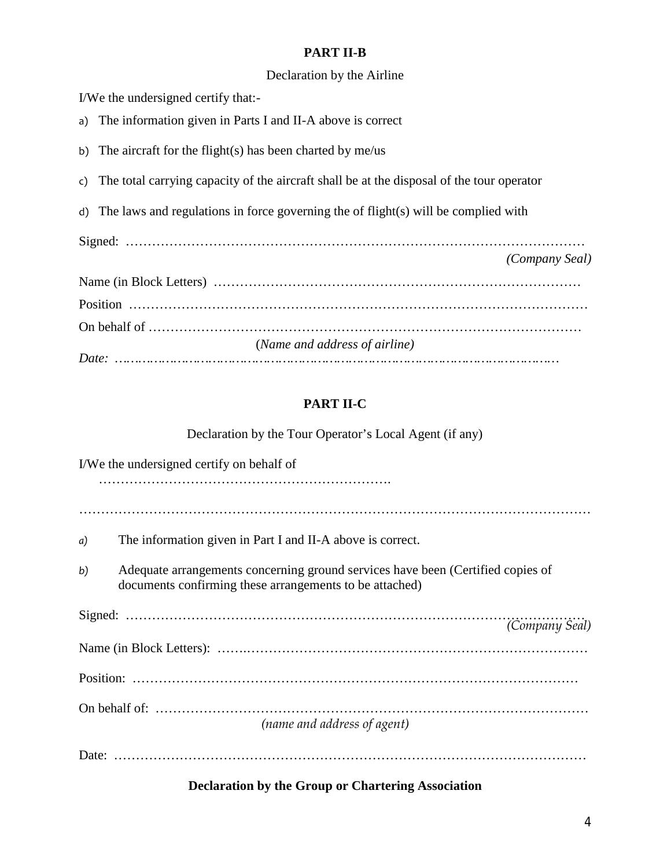### **PART II-B**

## Declaration by the Airline

I/We the undersigned certify that:-

a) The information given in Parts I and II-A above is correct

b) The aircraft for the flight(s) has been charted by me/us

- c) The total carrying capacity of the aircraft shall be at the disposal of the tour operator
- d) The laws and regulations in force governing the of flight(s) will be complied with

Signed: …………………………………………………………………………………………… *(Company Seal)*

| (Name and address of airline) |
|-------------------------------|
|                               |

# **PART II-C**

Declaration by the Tour Operator's Local Agent (if any)

|    | I/We the undersigned certify on behalf of                                                                                                  |  |  |  |
|----|--------------------------------------------------------------------------------------------------------------------------------------------|--|--|--|
|    |                                                                                                                                            |  |  |  |
| a) | The information given in Part I and II-A above is correct.                                                                                 |  |  |  |
| b) | Adequate arrangements concerning ground services have been (Certified copies of<br>documents confirming these arrangements to be attached) |  |  |  |
|    |                                                                                                                                            |  |  |  |
|    |                                                                                                                                            |  |  |  |
|    |                                                                                                                                            |  |  |  |
|    | (name and address of agent)                                                                                                                |  |  |  |
|    |                                                                                                                                            |  |  |  |

## **Declaration by the Group or Chartering Association**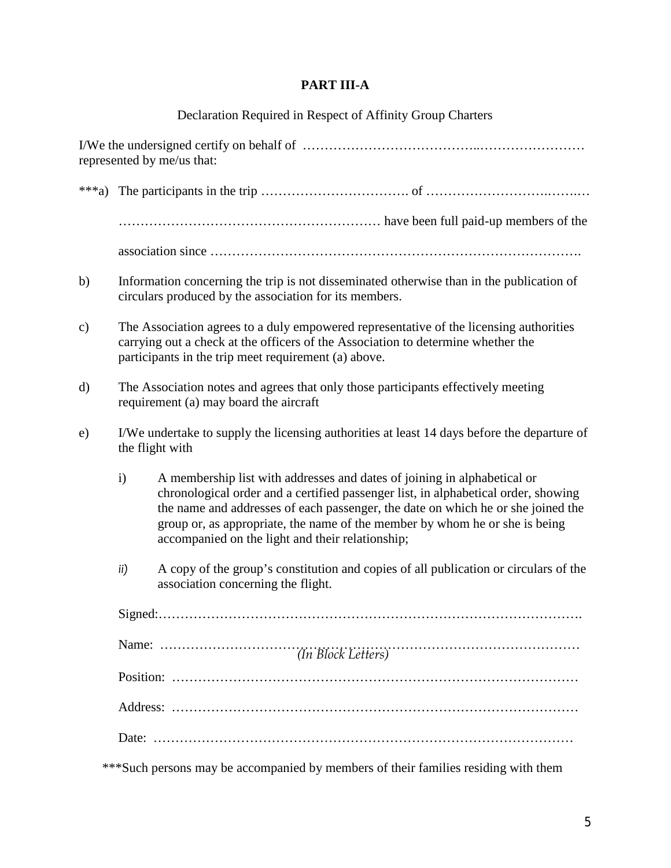# **PART III-A**

# Declaration Required in Respect of Affinity Group Charters

| represented by me/us that: |                                                                                                                                                                                                                                    |                                                                                                                                                                                                                                                                                                                                                                                       |  |  |  |
|----------------------------|------------------------------------------------------------------------------------------------------------------------------------------------------------------------------------------------------------------------------------|---------------------------------------------------------------------------------------------------------------------------------------------------------------------------------------------------------------------------------------------------------------------------------------------------------------------------------------------------------------------------------------|--|--|--|
| ***a)                      |                                                                                                                                                                                                                                    |                                                                                                                                                                                                                                                                                                                                                                                       |  |  |  |
|                            |                                                                                                                                                                                                                                    |                                                                                                                                                                                                                                                                                                                                                                                       |  |  |  |
|                            |                                                                                                                                                                                                                                    |                                                                                                                                                                                                                                                                                                                                                                                       |  |  |  |
| b)                         | Information concerning the trip is not disseminated otherwise than in the publication of<br>circulars produced by the association for its members.                                                                                 |                                                                                                                                                                                                                                                                                                                                                                                       |  |  |  |
| $\mathbf{c})$              | The Association agrees to a duly empowered representative of the licensing authorities<br>carrying out a check at the officers of the Association to determine whether the<br>participants in the trip meet requirement (a) above. |                                                                                                                                                                                                                                                                                                                                                                                       |  |  |  |
| $\rm d)$                   | The Association notes and agrees that only those participants effectively meeting<br>requirement (a) may board the aircraft                                                                                                        |                                                                                                                                                                                                                                                                                                                                                                                       |  |  |  |
| e)                         | I/We undertake to supply the licensing authorities at least 14 days before the departure of<br>the flight with                                                                                                                     |                                                                                                                                                                                                                                                                                                                                                                                       |  |  |  |
|                            | $\mathbf{i}$                                                                                                                                                                                                                       | A membership list with addresses and dates of joining in alphabetical or<br>chronological order and a certified passenger list, in alphabetical order, showing<br>the name and addresses of each passenger, the date on which he or she joined the<br>group or, as appropriate, the name of the member by whom he or she is being<br>accompanied on the light and their relationship; |  |  |  |
|                            | ii)                                                                                                                                                                                                                                | A copy of the group's constitution and copies of all publication or circulars of the<br>association concerning the flight.                                                                                                                                                                                                                                                            |  |  |  |
|                            |                                                                                                                                                                                                                                    |                                                                                                                                                                                                                                                                                                                                                                                       |  |  |  |
|                            |                                                                                                                                                                                                                                    |                                                                                                                                                                                                                                                                                                                                                                                       |  |  |  |
|                            |                                                                                                                                                                                                                                    |                                                                                                                                                                                                                                                                                                                                                                                       |  |  |  |
|                            |                                                                                                                                                                                                                                    |                                                                                                                                                                                                                                                                                                                                                                                       |  |  |  |
|                            |                                                                                                                                                                                                                                    |                                                                                                                                                                                                                                                                                                                                                                                       |  |  |  |

\*\*\*Such persons may be accompanied by members of their families residing with them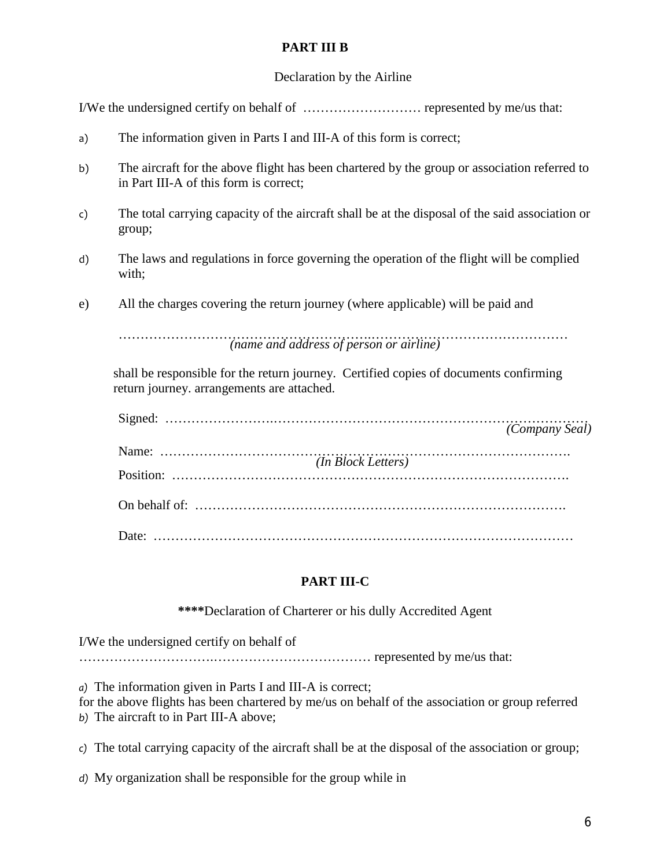## **PART III B**

## Declaration by the Airline

I/We the undersigned certify on behalf of ……………………… represented by me/us that:

- a) The information given in Parts I and III-A of this form is correct;
- b) The aircraft for the above flight has been chartered by the group or association referred to in Part III-A of this form is correct;
- c) The total carrying capacity of the aircraft shall be at the disposal of the said association or group;
- d) The laws and regulations in force governing the operation of the flight will be complied with;
- e) All the charges covering the return journey (where applicable) will be paid and

………………………………………………….……………………………………… *(name and address of person or airline)*

shall be responsible for the return journey. Certified copies of documents confirming return journey. arrangements are attached.

| $(m_{\text{Bvol}})$ $(m_{\text{Bvol}})$ $(m_{\text{Bvol}})$ |
|-------------------------------------------------------------|
|                                                             |
|                                                             |

# **PART III-C**

**\*\*\*\***Declaration of Charterer or his dully Accredited Agent

I/We the undersigned certify on behalf of

………………………….……………………………… represented by me/us that:

*a)* The information given in Parts I and III-A is correct;

for the above flights has been chartered by me/us on behalf of the association or group referred *b)* The aircraft to in Part III-A above;

*c)* The total carrying capacity of the aircraft shall be at the disposal of the association or group;

*d)* My organization shall be responsible for the group while in